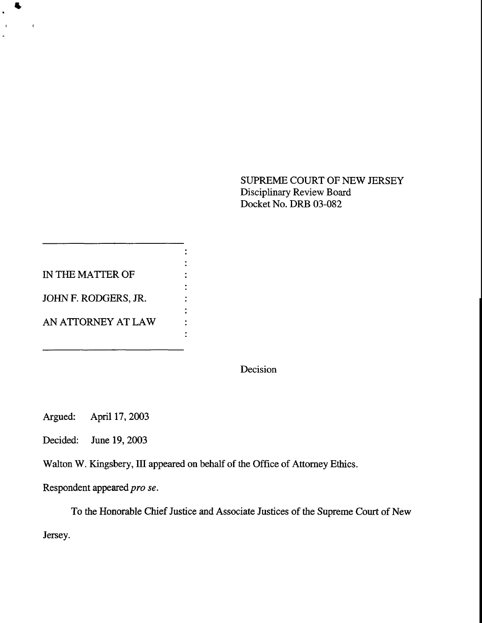SUPREME COURT OF NEW JERSEY Disciplinary Review Board Docket No. DRB 03-082

IN THE MATTER OF JOHN F. RODGERS, JR.

₩.

 $\mathbf{A}^{\mathrm{eff}}$ 

 $\mathbf{r}$ 

AN ATTORNEY AT LAW

Decision

Argued: April 17, 2003

Decided: June 19, 2003

Walton W. Kingsbery, HI appeared on behalf of the Office of Attorney Ethics.

 $\ddot{\cdot}$ 

 $\ddot{\cdot}$  $\ddot{\cdot}$ 

Respondent appeared *pro se.*

To the Honorable Chief Justice and Associate Justices of the Supreme Court of New

Jersey.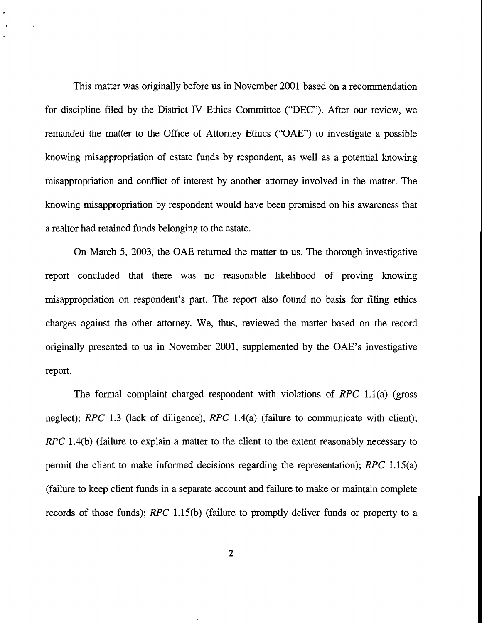This matter was originally before us in November 2001 based on a recommendation for discipline filed by the District IV Ethics Committee ("DEC"). After our review, we remanded the matter to the Office of Attorney Ethics ("OAE") to investigate a possible knowing misappropriation of estate funds by respondent, as well as a potential knowing misappropriation and conflict of interest by another attorney involved in the matter. The knowing misappropriation by respondent would have been premised on his awareness that a realtor had retained funds belonging to the estate.

On March 5, 2003, the OAE returned the matter to us. The thorough investigative report concluded that there was no reasonable likelihood of proving knowing misappropriation on respondent's part. The report also found no basis for filing ethics charges against the other attorney. We, thus, reviewed the matter based on the record originally presented to us in November 2001, supplemented by the OAE's investigative report.

The formal complaint charged respondent with violations of RPC 1.1(a) (gross neglect); *RPC* 1.3 (lack of diligence), *RPC* 1.4(a) (failure to communicate with client); *RPC* 1.4(b) (failure to explain a matter to the client to the extent reasonably necessary to permit the client to make informed decisions regarding the representation); *RPC* 1.15(a) (failure to keep client funds in a separate account and failure to make or maintain complete records of those funds); *RPC* 1.15(b) (failure to promptly deliver funds or property to a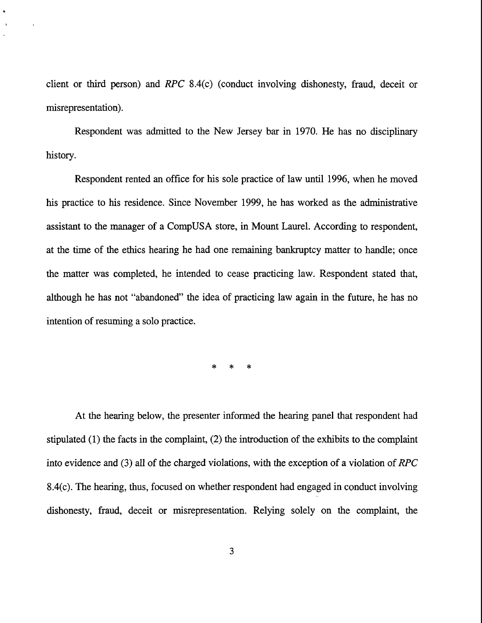client or third person) and *RPC* 8.4(c) (conduct involving dishonesty, fraud, deceit or misrepresentation).

 $\ddot{\phantom{1}}$ 

Respondent was admitted to the New Jersey bar in 1970. He has no disciplinary history.

Respondent rented an office for his sole practice of law until 1996, when he moved his practice to his residence. Since November 1999, he has worked as the administrative assistant to the manager of a CompUSA store, in Mount Laurel. According to respondent, at the time of the ethics hearing he had one remaining bankruptcy matter to handle; once the matter was completed, he intended to cease practicing law. Respondent stated that, although he has not "abandoned" the idea of practicing law again in the future, he has no intention of resuming a solo practice.

> $\ast$  $\ast$  $\ast$

At the hearing below, the presenter informed the hearing panel that respondent had stipulated (1) the facts in the complaint, (2) the introduction of the exhibits to the complaint into evidence and (3) all of the charged violations, with the exception of a violation of *RPC* 8.4(c). The hearing, thus, focused on whether respondent had engaged in conduct involving dishonesty, fraud, deceit or misrepresentation. Relying solely on the complaint, the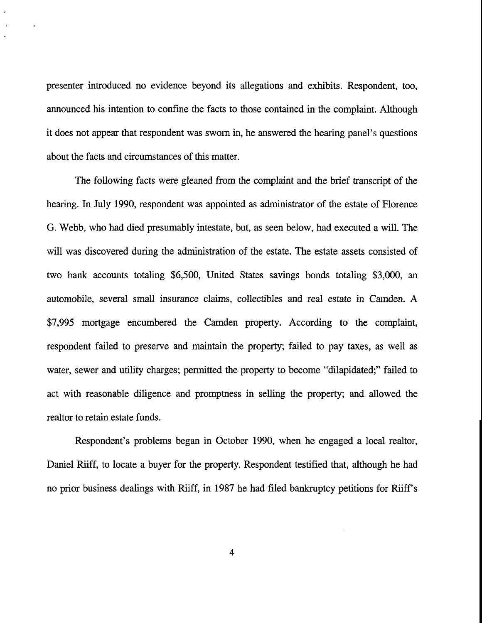presenter introduced no evidence beyond its allegations and exhibits. Respondent, too, announced his intention to confine the facts to those contained in the complaint. Although it does not appear that respondent was sworn in, he answered the hearing panel's questions about the facts and circumstances of this matter.

 $\ddot{\phantom{0}}$ 

The following facts were gleaned from the complaint and the brief transcript of the hearing. In July 1990, respondent was appointed as administrator of the estate of Florence G. Webb, who had died presumably intestate, but, as seen below, had executed a will. The will was discovered during the administration of the estate. The estate assets consisted of two bank accounts totaling \$6,500, United States savings bonds totaling \$3,000, an automobile, several small insurance claims, collectibles and real estate in Camden. A \$7,995 mortgage encumbered the Camden property. According to the complaint, respondent failed to preserve and maintain the property; failed to pay taxes, as well as water, sewer and utility charges; permitted the property to become "dilapidated;" failed to act with reasonable diligence and promptness in selling the property; and allowed the realtor to retain estate funds.

Respondent's problems began in October 1990, when he engaged a local realtor, Daniel Riiff, to locate a buyer for the property. Respondent testified that, although he had no prior business dealings with Riiff, in 1987 he had filed bankruptcy petitions for Riiff's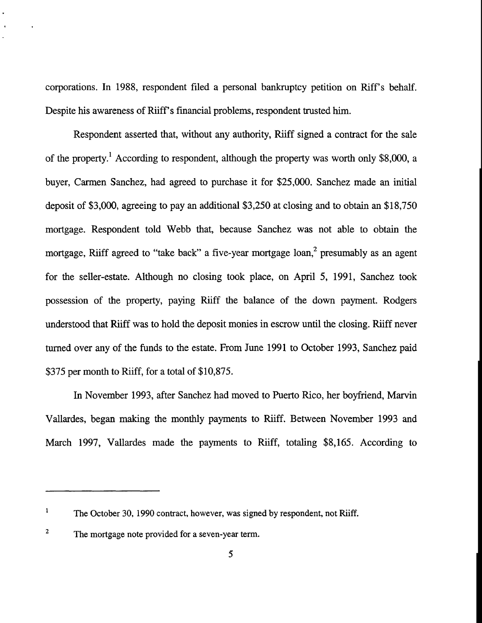corporations. In 1988, respondent filed a personal bankruptcy petition on Riff's behalf. Despite his awareness of Riiff's financial problems, respondent trusted him.

Respondent asserted that, without any authority, Riiff signed a contract for the sale of the property.<sup>1</sup> According to respondent, although the property was worth only \$8,000, a buyer, Carmen Sanchez, had agreed to purchase it for \$25,000. Sanchez made an initial deposit of \$3,000, agreeing to pay an additional \$3,250 at closing and to obtain an \$18,750 mortgage. Respondent told Webb that, because Sanchez was not able to obtain the mortgage, Riiff agreed to "take back" a five-year mortgage loan,<sup>2</sup> presumably as an agent for the seller-estate. Although no closing took place, on April 5, 1991, Sanchez took possession of the property, paying Riiff the balance of the down payment. Rodgers understood that Riiff was to hold the deposit monies in escrow until the closing. Riiff never turned over any of the funds to the estate. From June 1991 to October 1993, Sanchez paid \$375 per month to Riiff, for a total of \$10,875.

In November 1993, after Sanchez had moved to Puerto Rico, her boyfriend, Marvin Vallardes, began making the monthly payments to Riiff. Between November 1993 and March 1997, Vallardes made the payments to Riiff, totaling \$8,165. According to

 $\mathbf{1}$ The October 30, 1990 contract, however, was signed by respondent, not Riiff.

 $\mathbf 2$ The mortgage note provided for a seven-year term.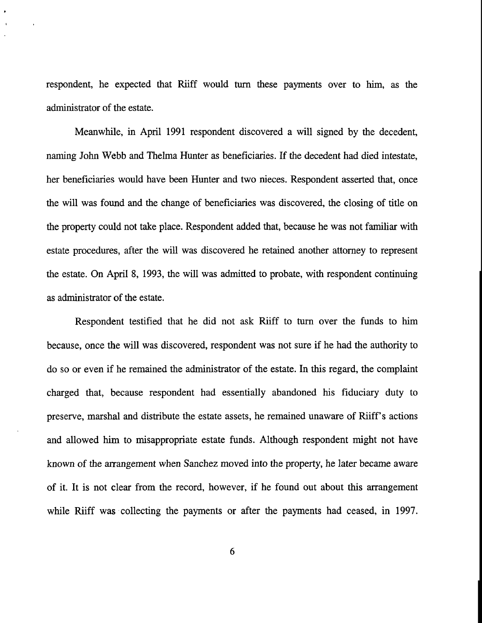respondent, he expected that Riiff would turn these payments over to him, as the administrator of the estate.

Meanwhile, in April 1991 respondent discovered a will signed by the decedent, naming John Webb and Thelma Hunter as beneficiaries. If the decedent had died intestate, her beneficiaries would have been Hunter and two nieces. Respondent asserted that, once the will was found and the change of beneficiaries was discovered, the closing of title on the property could not take place. Respondent added that, because he was not familiar with estate procedures, after the will was discovered he retained another attorney to represent the estate. On April 8, 1993, the will was admitted to probate, with respondent continuing as administrator of the estate.

Respondent testified that he did not ask Riiff to turn over the funds to him because, once the will was discovered, respondent was not sure if he had the authority to do so or even if he remained the administrator of the estate. In this regard, the complaint charged that, because respondent had essentially abandoned his fiduciary duty to preserve, marshal and distribute the estate assets, he remained unaware of Riiff's actions and allowed him to misappropriate estate funds. Although respondent might not have known of the arrangement when Sanchez moved into the property, he later became aware of it. It is not clear from the record, however, if he found out about this arrangement while Riiff was collecting the payments or after the payments had ceased, in 1997.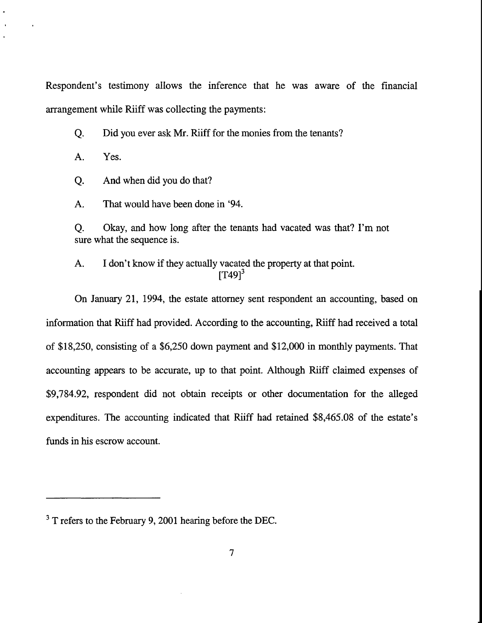Respondent's testimony allows the inference that he was aware of the financial arrangement while Riiff was collecting the payments:

Did you ever ask Mr. Riiff for the monies from the tenants? Q.

A. Yes.

Q. And when did you do that?

A. That would have been done in '94.

Q. sure what the sequence is. Okay, and how long after the tenants had vacated was that? I'm not

A. I don't know if they actually vacated the property at that point.  $[T49]$ <sup>3</sup>

On January 21, 1994, the estate attorney sent respondent an accounting, based on information that Riiff had provided. According to the accounting, Riiff had received a total of \$18,250, consisting of a \$6,250 down payment and \$12,000 in monthly payments. That accounting appears to be accurate, up to that point. Although Riiff claimed expenses of \$9,784.92, respondent did not obtain receipts or other documentation for the alleged expenditures. The accounting indicated that Riiff had retained \$8,465.08 of the estate's funds in his escrow account.

<sup>&</sup>lt;sup>3</sup> T refers to the February 9, 2001 hearing before the DEC.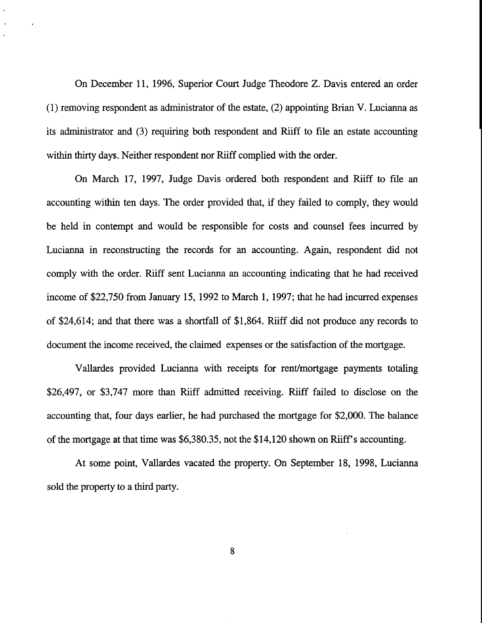On December 11, 1996, Superior Court Judge Theodore Z. Davis entered an order (1) removing respondent as administrator of the estate, (2) appointing Brian V. Lucianna as its administrator and (3) requiring both respondent and Riiff to file an estate accounting within thirty days. Neither respondent nor Riiff complied with the order.

On March 17, 1997, Judge Davis ordered both respondent and Riiff to file an accounting within ten days. The order provided that, if they failed to comply, they would be held in contempt and would be responsible for costs and counsel fees incurred by Lucianna in reconstructing the records for an accounting. Again, respondent did not comply with the order. Riiff sent Lucianna an accounting indicating that he had received income of \$22,750 from January 15, 1992 to March 1, 1997; that he had incurred expenses of \$24,614; and that there was a shortfall of \$1,864. Riiff did not produce any records to document the income received, the claimed expenses or the satisfaction of the mortgage.

Vallardes provided Lucianna with receipts for rent/mortgage payments totaling \$26,497, or \$3,747 more than Riiff admitted receiving. Riiff failed to disclose on the accounting that, four days earlier, he had purchased the mortgage for \$2,000. The balance of the mortgage at that time was \$6,380.35, not the \$14,120 shown on Riiff's accounting.

At some point, Vallardes vacated the property. On September 18, 1998, Lucianna sold the property to a third party.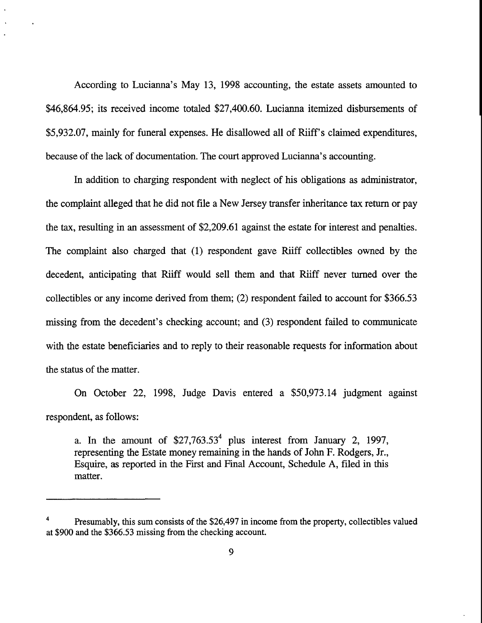According to Lucianna's May 13, 1998 accounting, the estate assets amounted to \$46,864.95; its received income totaled \$27,400.60. Lucianna itemized disbursements of \$5,932.07, mainly for funeral expenses. He disallowed all of Riiff's claimed expenditures, because of the lack of documentation. The court approved Lucianna's accounting.

In addition to charging respondent with neglect of his obligations as administrator, the complaint alleged that he did not file a New Jersey transfer inheritance tax return or pay the tax, resulting in an assessment of \$2,209.61 against the estate for interest and penalties. The complaint also charged that (1) respondent gave Riiff collectibles owned by the decedent, anticipating that Riiff would sell them and that Riiff never turned over the collectibles or any income derived from them; (2) respondent failed to account for \$366.53 missing from the decedent's checking account; and (3) respondent failed to communicate with the estate beneficiaries and to reply to their reasonable requests for information about the status of the matter.

On October 22, 1998, Judge Davis entered a \$50,973.14 judgment against respondent, as follows:

a. In the amount of  $$27,763.53<sup>4</sup>$  plus interest from January 2, 1997, representing the Estate money remaining in the hands of John F. Rodgers, Jr., Esquire, as reported in the First and Final Account, Schedule A, filed in this matter.

<sup>4</sup> Presumably, this sum consists of the \$26,497 in income from the property, collectibles valued at \$900 and the \$366.53 missing from the checking account.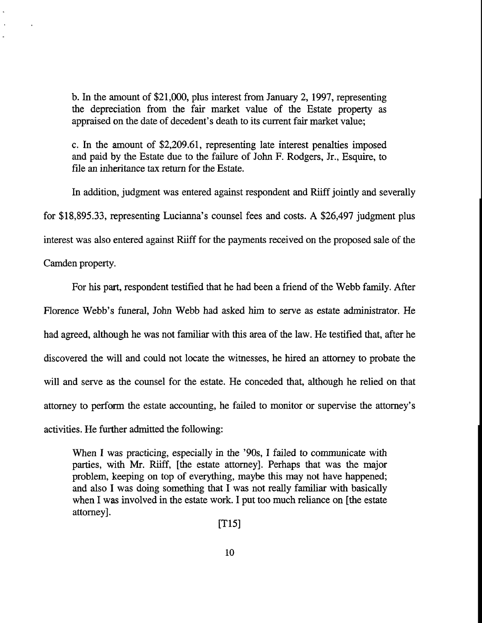b. In the amount of \$21,000, plus interest from January 2, 1997, representing the depreciation from the fair market value of the Estate property as appraised on the date of decedent's death to its current fair market value;

c. In the amount of \$2,209.61, representing late interest penalties imposed and paid by the Estate due to the failure of John F. Rodgers, Jr., Esquire, to file an inheritance tax return for the Estate.

In addition, judgment was entered against respondent and Riiff jointly and severally for \$18,895.33, representing Lucianna's counsel fees and costs. A \$26,497 judgment plus interest was also entered against Riiff for the payments received on the proposed sale of the

Camden property.

For his part, respondent testified that he had been a friend of the Webb family. After Florence Webb's funeral, John Webb had asked him to serve as estate administrator. He had agreed, although he was not familiar with this area of the law. He testified that, after he discovered the will and could not locate the witnesses, he hired an attorney to probate the will and serve as the counsel for the estate. He conceded that, although he relied on that attorney to perform the estate accounting, he failed to monitor or supervise the attorney's activities. He further admitted the following:

When I was practicing, especially in the '90s, I failed to communicate with parties, with Mr. Riiff, [the estate attorney]. Perhaps that was the major problem, keeping on top of everything, maybe this may not have happened; and also I was doing something that I was not really familiar with basically when I was involved in the estate work. I put too much reliance on [the estate attorney].

[T15]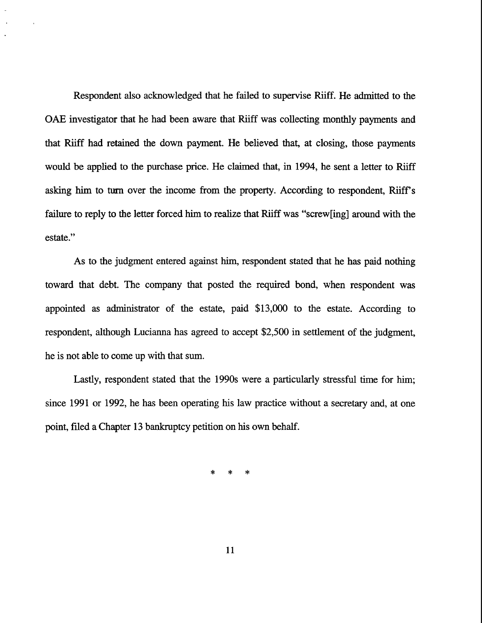Respondent also acknowledged that he failed to supervise Riiff. He admitted to the OAE investigator that he had been aware that Riiff was collecting monthly payments and that Riiff had retained the down payment. He believed that, at closing, those payments would be applied to the purchase price. He claimed that, in 1994, he sent a letter to Riiff asking him to turn over the income from the property. According to respondent, Riiff's failure to reply to the letter forced him to realize that Riiff was "screw[ing] around with the estate."

As to the judgment entered against him, respondent stated that he has paid nothing toward that debt. The company that posted the required bond, when respondent was appointed as administrator of the estate, paid \$13,000 to the estate. According to respondent, although Lucianna has agreed to accept \$2,500 in settlement of the judgment, he is not able to come up with that sum.

Lastly, respondent stated that the 1990s were a particularly stressful time for him; since 1991 or 1992, he has been operating his law practice without a secretary and, at one point, filed a Chapter 13 bankruptcy petition on his own behalf.

> $\star$  $\star$  $\ast$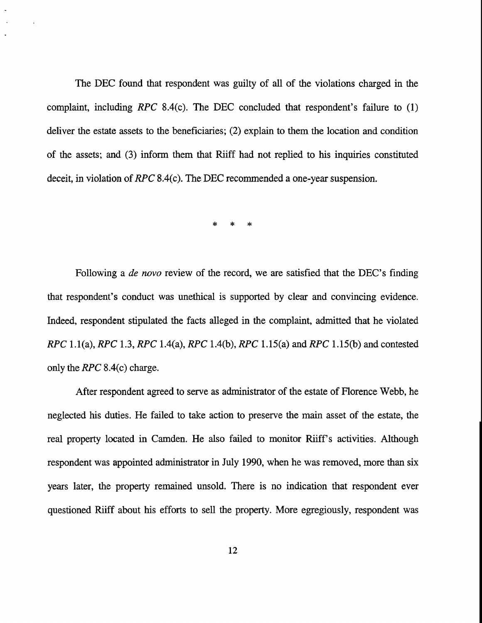The DEC found that respondent was guilty of all of the violations charged in the complaint, including *RPC* 8.4(c). The DEC concluded that respondent's failure to (1) deliver the estate assets to the beneficiaries; (2) explain to them the location and condition of the assets; and (3) inform them that Riiff had not replied to his inquiries constituted deceit, in violation of RPC 8.4(c). The DEC recommended a one-year suspension.

 $*$  \*

Following a *de novo* review of the record, we are satisfied that the DEC's finding that respondent's conduct was unethical is supported by clear and convincing evidence. Indeed, respondent stipulated the facts alleged in the complaint, admitted that he violated *RPC* 1.1(a), *RPC* 1.3, RPC 1.4(a), RPC 1.4(b), *RPC* 1.15(a) and *RPC* 1.15(b) and contested only the *RPC* 8.4(c) charge.

After respondent agreed to serve as administrator of the estate of Florence Webb, he neglected his duties. He failed to take action to preserve the main asset of the estate, the real property located in Camden. He also failed to monitor Riiff's activities. Although respondent was appointed administrator in July 1990, when he was removed, more than six years later, the property remained unsold. There is no indication that respondent ever questioned Riiff about his efforts to sell the property. More egregiously, respondent was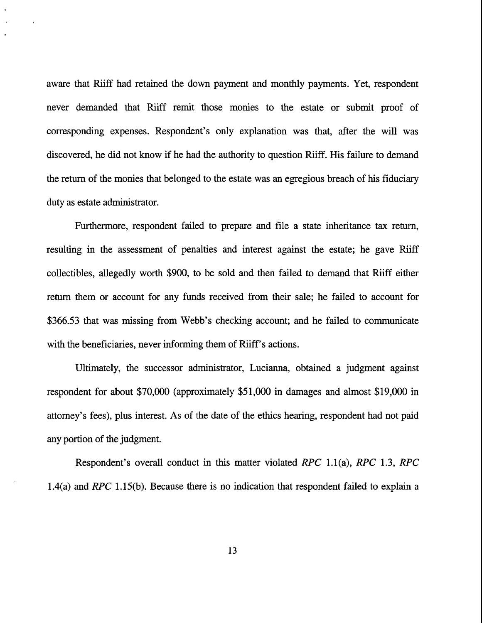aware that Riiff had retained the down payment and monthly payments. Yet, respondent never demanded that Riiff remit those monies to the estate or submit proof of corresponding expenses. Respondent's only explanation was that, after the will was discovered, he did not know if he had the authority to question Riiff. His failure to demand the return of the monies that belonged to the estate was an egregious breach of his fiduciary duty as estate administrator.

Furthermore, respondent failed to prepare and file a state inheritance tax return, resulting in the assessment of penalties and interest against the estate; he gave Riiff collectibles, allegedly worth \$900, to be sold and then failed to demand that Riiff either return them or account for any funds received from their sale; he failed to account for \$366.53 that was missing from Webb's checking account; and he failed to communicate with the beneficiaries, never informing them of Riiff's actions.

Ultimately, the successor administrator, Lucianna, obtained a judgment against respondent for about \$70,000 (approximately \$51,000 in damages and almost \$19,000 in attorney's fees), plus interest. As of the date of the ethics hearing, respondent had not paid any portion of the judgment.

Respondent's overall conduct in this matter violated *RPC* 1.1(a), *RPC* 1.3, *RPC* 1.4(a) and RPC 1.15(b). Because there is no indication that respondent failed to explain a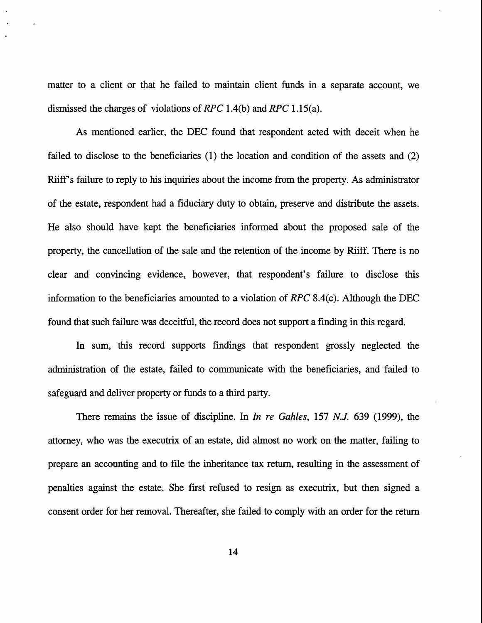matter to a client or that he failed to maintain client funds in a separate account, we dismissed the charges of violations of *RPC* 1.4(b) and *RPC* 1.15(a).

As mentioned earlier, the DEC found that respondent acted with deceit when he failed to disclose to the beneficiaries (1) the location and condition of the assets and (2) Riiff's failure to reply to his inquiries about the income from the property. As administrator of the estate, respondent had a fiduciary duty to obtain, preserve and distribute the assets. He also should have kept the beneficiaries informed about the proposed sale of the property, the cancellation of the sale and the retention of the income by Riiff. There is no clear and convincing evidence, however, that respondent's failure to disclose this information to the beneficiaries amounted to a violation of *RPC* 8.4(c). Although the DEC found that such failure was deceitful, the record does not support a finding in this regard.

In sum, this record supports findings that respondent grossly neglected the administration of the estate, failed to communicate with the beneficiaries, and failed to safeguard and deliver property or funds to a third party.

There remains the issue of discipline. In *In re Gahles,* 157 N.J. 639 (1999), the attorney, who was the executrix of an estate, did almost no work on the matter, failing to prepare an accounting and to file the inheritance tax return, resulting in the assessment of penalties against the estate. She first refused to resign as executrix, but then signed a consent order for her removal. Thereafter, she failed to comply with an order for the return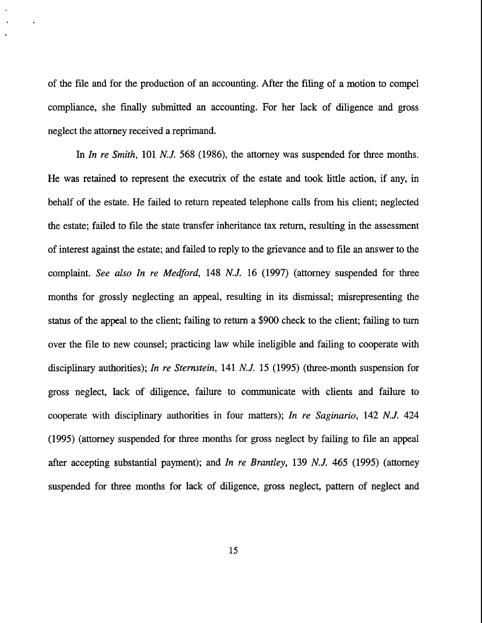of the file and for the production of an accounting. After the filing of a motion to compel compliance, she finally submitted an accounting. For her lack of diligence and gross neglect the attorney received a reprimand.

In *In re Smith,* 101 N.J. 568 (1986), the attomey was suspended for three months. He was retained to represent the executrix of the estate and took little action, if any, in behalf of the estate. He failed to return repeated telephone calls from his client; neglected the estate; failed to file the state transfer inheritance tax retum, resulting in the assessment of interest against the estate; and failed to reply to the grievance and to file an answer to the complaint. *See also In re Medford,* 148 N.J. 16 (1997) (attorney suspended for three months for grossly neglecting an appeal, resulting in its dismissal; misrepresenting the status of the appeal to the client; failing to return a \$900 check to the client; falling to turn over the file to new counsel; practicing law while ineligible and failing to cooperate with disciplinary authorities); *In re Sternstein,* 141 N.J. 15 (1995) (three-month suspension for gross neglect, lack of diligence, failure to communicate with clients and failure to cooperate with disciplinary authorities in four matters); *In re Saginario,* 142 N.J. 424 (1995) (attorney suspended, for three months for gross neglect by failing to file an appeal after accepting substantial payment); and *In re Brantley,* 139 N.J. 465 (1995) (attomey suspended for three months for lack of diligence, gross neglect, pattem of neglect and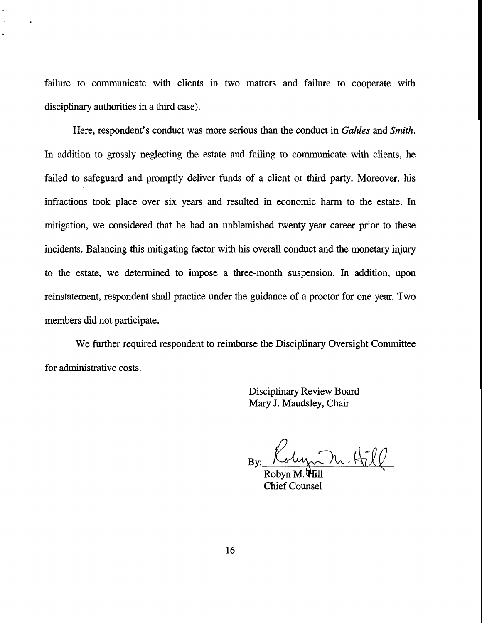failure to communicate with clients in two matters and failure to cooperate with disciplinary authorities in a third case).

 $\sim$   $\alpha$ 

Here, respondent's conduct was more serious than the conduct in *Gahles and Smith.* In addition to grossly neglecting the estate and failing to communicate with clients, he failed to safeguard and promptly deliver funds of a client or third party. Moreover, his infractions took place over six years and resulted in economic harm to the estate. In mitigation, we considered that he had an unblemished twenty-year career prior to these incidents. Balancing this mitigating factor with his overall conduct and the monetary injury to the estate, we determined to impose a three-month suspension. In addition, upon reinstatement, respondent shall practice under the guidance of a proctor for one year. Two members did not participate.

We further required respondent to reimburse the Disciplinary Oversight Committee for administrative costs.

> **Disciplinary Review Board** Mary J. Maudsley, Chair

olyn N. Hill By:

Chief Counsel